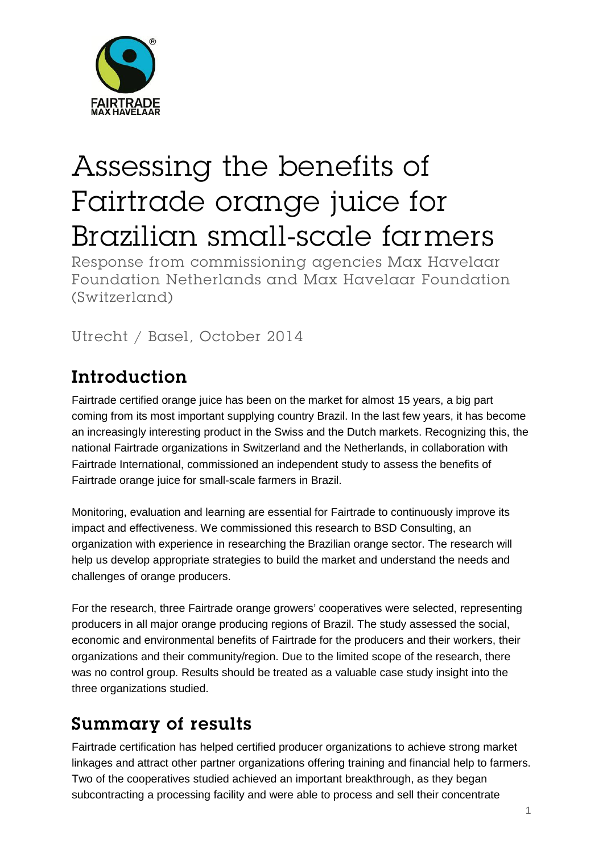

# Assessing the benefits of Fairtrade orange juice for Brazilian small-scale farmers

Response from commissioning agencies Max Havelaar Foundation Netherlands and Max Havelaar Foundation (Switzerland)

Utrecht / Basel, October 2014

## Introduction

Fairtrade certified orange juice has been on the market for almost 15 years, a big part coming from its most important supplying country Brazil. In the last few years, it has become an increasingly interesting product in the Swiss and the Dutch markets. Recognizing this, the national Fairtrade organizations in Switzerland and the Netherlands, in collaboration with Fairtrade International, commissioned an independent study to assess the benefits of Fairtrade orange juice for small-scale farmers in Brazil.

Monitoring, evaluation and learning are essential for Fairtrade to continuously improve its impact and effectiveness. We commissioned this research to BSD Consulting, an organization with experience in researching the Brazilian orange sector. The research will help us develop appropriate strategies to build the market and understand the needs and challenges of orange producers.

For the research, three Fairtrade orange growers' cooperatives were selected, representing producers in all major orange producing regions of Brazil. The study assessed the social, economic and environmental benefits of Fairtrade for the producers and their workers, their organizations and their community/region. Due to the limited scope of the research, there was no control group. Results should be treated as a valuable case study insight into the three organizations studied.

### Summary of results

Fairtrade certification has helped certified producer organizations to achieve strong market linkages and attract other partner organizations offering training and financial help to farmers. Two of the cooperatives studied achieved an important breakthrough, as they began subcontracting a processing facility and were able to process and sell their concentrate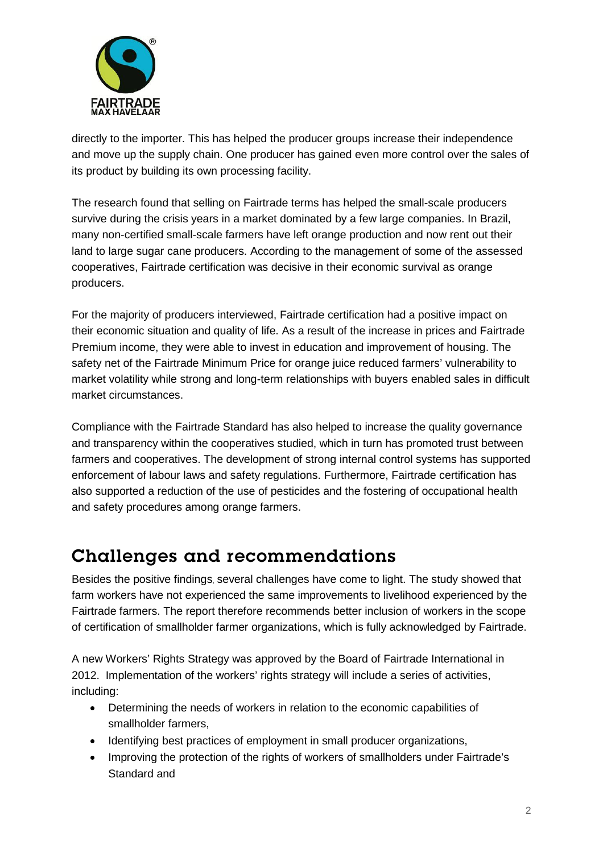

directly to the importer. This has helped the producer groups increase their independence and move up the supply chain. One producer has gained even more control over the sales of its product by building its own processing facility.

The research found that selling on Fairtrade terms has helped the small-scale producers survive during the crisis years in a market dominated by a few large companies. In Brazil, many non-certified small-scale farmers have left orange production and now rent out their land to large sugar cane producers. According to the management of some of the assessed cooperatives, Fairtrade certification was decisive in their economic survival as orange producers.

For the majority of producers interviewed, Fairtrade certification had a positive impact on their economic situation and quality of life. As a result of the increase in prices and Fairtrade Premium income, they were able to invest in education and improvement of housing. The safety net of the Fairtrade Minimum Price for orange juice reduced farmers' vulnerability to market volatility while strong and long-term relationships with buyers enabled sales in difficult market circumstances.

Compliance with the Fairtrade Standard has also helped to increase the quality governance and transparency within the cooperatives studied, which in turn has promoted trust between farmers and cooperatives. The development of strong internal control systems has supported enforcement of labour laws and safety regulations. Furthermore, Fairtrade certification has also supported a reduction of the use of pesticides and the fostering of occupational health and safety procedures among orange farmers.

#### Challenges and recommendations

Besides the positive findings, several challenges have come to light. The study showed that farm workers have not experienced the same improvements to livelihood experienced by the Fairtrade farmers. The report therefore recommends better inclusion of workers in the scope of certification of smallholder farmer organizations, which is fully acknowledged by Fairtrade.

A new Workers' Rights Strategy was approved by the Board of Fairtrade International in 2012. Implementation of the workers' rights strategy will include a series of activities, including:

- Determining the needs of workers in relation to the economic capabilities of smallholder farmers,
- Identifying best practices of employment in small producer organizations,
- Improving the protection of the rights of workers of smallholders under Fairtrade's Standard and